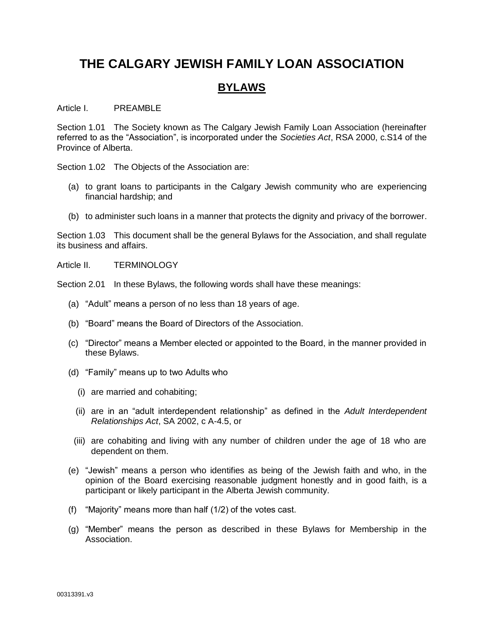# **THE CALGARY JEWISH FAMILY LOAN ASSOCIATION**

## **BYLAWS**

Article I. PREAMBLE

Section 1.01 The Society known as The Calgary Jewish Family Loan Association (hereinafter referred to as the "Association", is incorporated under the *Societies Act*, RSA 2000, c.S14 of the Province of Alberta.

Section 1.02 The Objects of the Association are:

- (a) to grant loans to participants in the Calgary Jewish community who are experiencing financial hardship; and
- (b) to administer such loans in a manner that protects the dignity and privacy of the borrower.

Section 1.03 This document shall be the general Bylaws for the Association, and shall regulate its business and affairs.

Article II. TERMINOLOGY

Section 2.01 In these Bylaws, the following words shall have these meanings:

- (a) "Adult" means a person of no less than 18 years of age.
- (b) "Board" means the Board of Directors of the Association.
- (c) "Director" means a Member elected or appointed to the Board, in the manner provided in these Bylaws.
- (d) "Family" means up to two Adults who
	- (i) are married and cohabiting;
	- (ii) are in an "adult interdependent relationship" as defined in the *Adult Interdependent Relationships Act*, SA 2002, c A-4.5, or
	- (iii) are cohabiting and living with any number of children under the age of 18 who are dependent on them.
- (e) "Jewish" means a person who identifies as being of the Jewish faith and who, in the opinion of the Board exercising reasonable judgment honestly and in good faith, is a participant or likely participant in the Alberta Jewish community.
- (f) "Majority" means more than half (1/2) of the votes cast.
- (g) "Member" means the person as described in these Bylaws for Membership in the Association.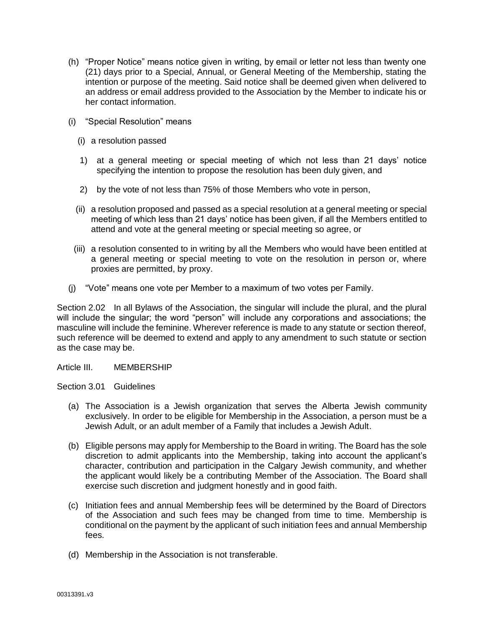- (h) "Proper Notice" means notice given in writing, by email or letter not less than twenty one (21) days prior to a Special, Annual, or General Meeting of the Membership, stating the intention or purpose of the meeting. Said notice shall be deemed given when delivered to an address or email address provided to the Association by the Member to indicate his or her contact information.
- (i) "Special Resolution" means
	- (i) a resolution passed
	- 1) at a general meeting or special meeting of which not less than 21 days' notice specifying the intention to propose the resolution has been duly given, and
	- 2) by the vote of not less than 75% of those Members who vote in person,
	- (ii) a resolution proposed and passed as a special resolution at a general meeting or special meeting of which less than 21 days' notice has been given, if all the Members entitled to attend and vote at the general meeting or special meeting so agree, or
	- (iii) a resolution consented to in writing by all the Members who would have been entitled at a general meeting or special meeting to vote on the resolution in person or, where proxies are permitted, by proxy.
- (j) "Vote" means one vote per Member to a maximum of two votes per Family.

Section 2.02 In all Bylaws of the Association, the singular will include the plural, and the plural will include the singular; the word "person" will include any corporations and associations; the masculine will include the feminine. Wherever reference is made to any statute or section thereof, such reference will be deemed to extend and apply to any amendment to such statute or section as the case may be.

Article III. MEMBERSHIP

Section 3.01 Guidelines

- (a) The Association is a Jewish organization that serves the Alberta Jewish community exclusively. In order to be eligible for Membership in the Association, a person must be a Jewish Adult, or an adult member of a Family that includes a Jewish Adult.
- (b) Eligible persons may apply for Membership to the Board in writing. The Board has the sole discretion to admit applicants into the Membership, taking into account the applicant's character, contribution and participation in the Calgary Jewish community, and whether the applicant would likely be a contributing Member of the Association. The Board shall exercise such discretion and judgment honestly and in good faith.
- (c) Initiation fees and annual Membership fees will be determined by the Board of Directors of the Association and such fees may be changed from time to time. Membership is conditional on the payment by the applicant of such initiation fees and annual Membership fees.
- (d) Membership in the Association is not transferable.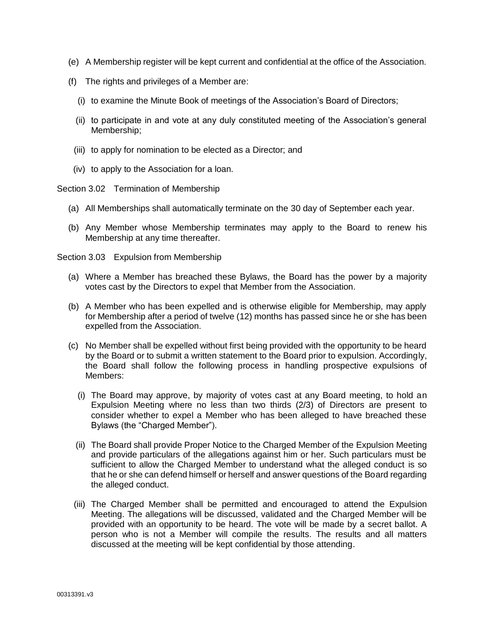- (e) A Membership register will be kept current and confidential at the office of the Association.
- (f) The rights and privileges of a Member are:
	- (i) to examine the Minute Book of meetings of the Association's Board of Directors;
	- (ii) to participate in and vote at any duly constituted meeting of the Association's general Membership;
	- (iii) to apply for nomination to be elected as a Director; and
- (iv) to apply to the Association for a loan.

Section 3.02 Termination of Membership

- (a) All Memberships shall automatically terminate on the 30 day of September each year.
- (b) Any Member whose Membership terminates may apply to the Board to renew his Membership at any time thereafter.

Section 3.03 Expulsion from Membership

- (a) Where a Member has breached these Bylaws, the Board has the power by a majority votes cast by the Directors to expel that Member from the Association.
- (b) A Member who has been expelled and is otherwise eligible for Membership, may apply for Membership after a period of twelve (12) months has passed since he or she has been expelled from the Association.
- (c) No Member shall be expelled without first being provided with the opportunity to be heard by the Board or to submit a written statement to the Board prior to expulsion. Accordingly, the Board shall follow the following process in handling prospective expulsions of Members:
	- (i) The Board may approve, by majority of votes cast at any Board meeting, to hold an Expulsion Meeting where no less than two thirds (2/3) of Directors are present to consider whether to expel a Member who has been alleged to have breached these Bylaws (the "Charged Member").
	- (ii) The Board shall provide Proper Notice to the Charged Member of the Expulsion Meeting and provide particulars of the allegations against him or her. Such particulars must be sufficient to allow the Charged Member to understand what the alleged conduct is so that he or she can defend himself or herself and answer questions of the Board regarding the alleged conduct.
	- (iii) The Charged Member shall be permitted and encouraged to attend the Expulsion Meeting. The allegations will be discussed, validated and the Charged Member will be provided with an opportunity to be heard. The vote will be made by a secret ballot. A person who is not a Member will compile the results. The results and all matters discussed at the meeting will be kept confidential by those attending.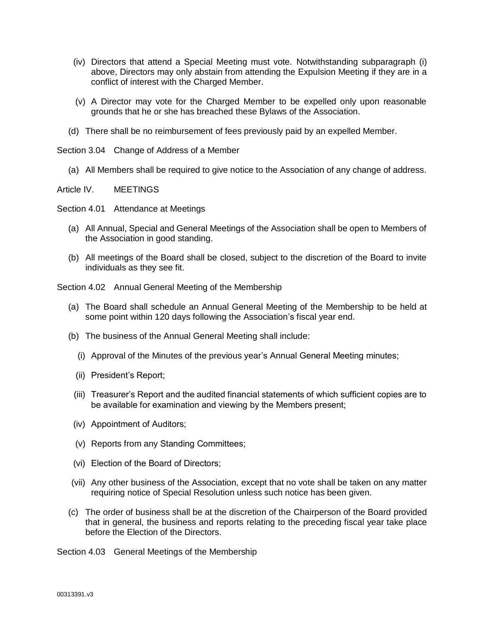- (iv) Directors that attend a Special Meeting must vote. Notwithstanding subparagraph (i) above, Directors may only abstain from attending the Expulsion Meeting if they are in a conflict of interest with the Charged Member.
- (v) A Director may vote for the Charged Member to be expelled only upon reasonable grounds that he or she has breached these Bylaws of the Association.
- (d) There shall be no reimbursement of fees previously paid by an expelled Member.

Section 3.04 Change of Address of a Member

(a) All Members shall be required to give notice to the Association of any change of address.

Article IV. MEETINGS

Section 4.01 Attendance at Meetings

- (a) All Annual, Special and General Meetings of the Association shall be open to Members of the Association in good standing.
- (b) All meetings of the Board shall be closed, subject to the discretion of the Board to invite individuals as they see fit.

Section 4.02 Annual General Meeting of the Membership

- (a) The Board shall schedule an Annual General Meeting of the Membership to be held at some point within 120 days following the Association's fiscal year end.
- (b) The business of the Annual General Meeting shall include:
	- (i) Approval of the Minutes of the previous year's Annual General Meeting minutes;
	- (ii) President's Report;
	- (iii) Treasurer's Report and the audited financial statements of which sufficient copies are to be available for examination and viewing by the Members present;
- (iv) Appointment of Auditors;
- (v) Reports from any Standing Committees;
- (vi) Election of the Board of Directors;
- (vii) Any other business of the Association, except that no vote shall be taken on any matter requiring notice of Special Resolution unless such notice has been given.
- (c) The order of business shall be at the discretion of the Chairperson of the Board provided that in general, the business and reports relating to the preceding fiscal year take place before the Election of the Directors.

Section 4.03 General Meetings of the Membership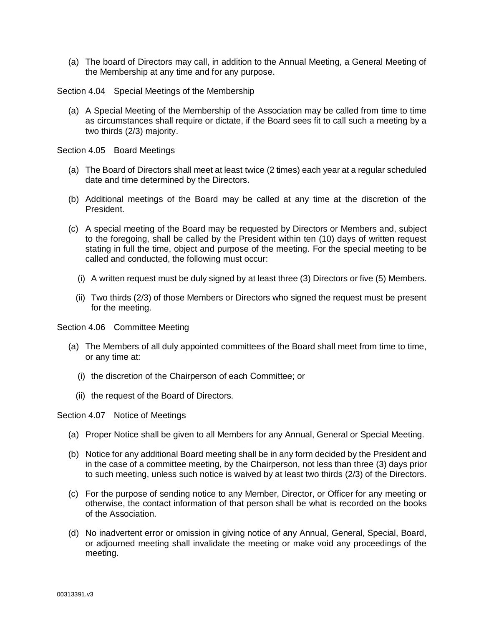(a) The board of Directors may call, in addition to the Annual Meeting, a General Meeting of the Membership at any time and for any purpose.

Section 4.04 Special Meetings of the Membership

(a) A Special Meeting of the Membership of the Association may be called from time to time as circumstances shall require or dictate, if the Board sees fit to call such a meeting by a two thirds (2/3) majority.

Section 4.05 Board Meetings

- (a) The Board of Directors shall meet at least twice (2 times) each year at a regular scheduled date and time determined by the Directors.
- (b) Additional meetings of the Board may be called at any time at the discretion of the President.
- (c) A special meeting of the Board may be requested by Directors or Members and, subject to the foregoing, shall be called by the President within ten (10) days of written request stating in full the time, object and purpose of the meeting. For the special meeting to be called and conducted, the following must occur:
	- (i) A written request must be duly signed by at least three (3) Directors or five (5) Members.
	- (ii) Two thirds (2/3) of those Members or Directors who signed the request must be present for the meeting.

Section 4.06 Committee Meeting

- (a) The Members of all duly appointed committees of the Board shall meet from time to time, or any time at:
	- (i) the discretion of the Chairperson of each Committee; or
	- (ii) the request of the Board of Directors.

Section 4.07 Notice of Meetings

- (a) Proper Notice shall be given to all Members for any Annual, General or Special Meeting.
- (b) Notice for any additional Board meeting shall be in any form decided by the President and in the case of a committee meeting, by the Chairperson, not less than three (3) days prior to such meeting, unless such notice is waived by at least two thirds (2/3) of the Directors.
- (c) For the purpose of sending notice to any Member, Director, or Officer for any meeting or otherwise, the contact information of that person shall be what is recorded on the books of the Association.
- (d) No inadvertent error or omission in giving notice of any Annual, General, Special, Board, or adjourned meeting shall invalidate the meeting or make void any proceedings of the meeting.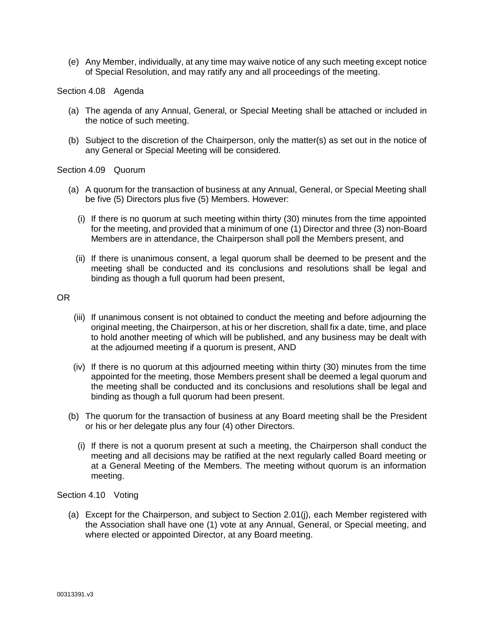(e) Any Member, individually, at any time may waive notice of any such meeting except notice of Special Resolution, and may ratify any and all proceedings of the meeting.

#### Section 4.08 Agenda

- (a) The agenda of any Annual, General, or Special Meeting shall be attached or included in the notice of such meeting.
- (b) Subject to the discretion of the Chairperson, only the matter(s) as set out in the notice of any General or Special Meeting will be considered.

#### Section 4.09 Quorum

- (a) A quorum for the transaction of business at any Annual, General, or Special Meeting shall be five (5) Directors plus five (5) Members. However:
	- (i) If there is no quorum at such meeting within thirty (30) minutes from the time appointed for the meeting, and provided that a minimum of one (1) Director and three (3) non-Board Members are in attendance, the Chairperson shall poll the Members present, and
	- (ii) If there is unanimous consent, a legal quorum shall be deemed to be present and the meeting shall be conducted and its conclusions and resolutions shall be legal and binding as though a full quorum had been present,

### OR

- (iii) If unanimous consent is not obtained to conduct the meeting and before adjourning the original meeting, the Chairperson, at his or her discretion, shall fix a date, time, and place to hold another meeting of which will be published, and any business may be dealt with at the adjourned meeting if a quorum is present, AND
- (iv) If there is no quorum at this adjourned meeting within thirty (30) minutes from the time appointed for the meeting, those Members present shall be deemed a legal quorum and the meeting shall be conducted and its conclusions and resolutions shall be legal and binding as though a full quorum had been present.
- (b) The quorum for the transaction of business at any Board meeting shall be the President or his or her delegate plus any four (4) other Directors.
	- (i) If there is not a quorum present at such a meeting, the Chairperson shall conduct the meeting and all decisions may be ratified at the next regularly called Board meeting or at a General Meeting of the Members. The meeting without quorum is an information meeting.

#### Section 4.10 Voting

(a) Except for the Chairperson, and subject to Section 2.01(j), each Member registered with the Association shall have one (1) vote at any Annual, General, or Special meeting, and where elected or appointed Director, at any Board meeting.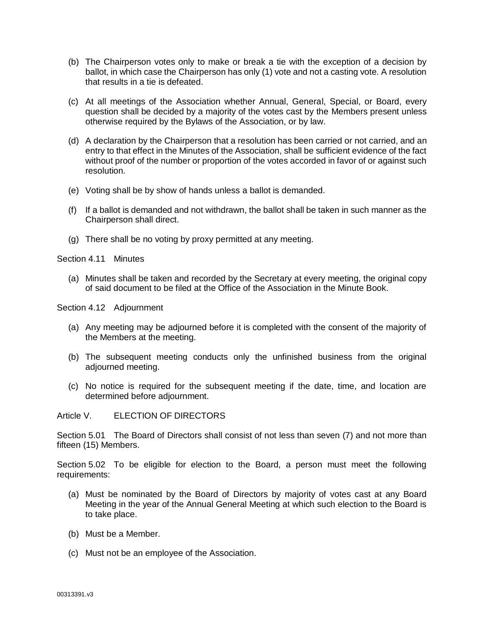- (b) The Chairperson votes only to make or break a tie with the exception of a decision by ballot, in which case the Chairperson has only (1) vote and not a casting vote. A resolution that results in a tie is defeated.
- (c) At all meetings of the Association whether Annual, General, Special, or Board, every question shall be decided by a majority of the votes cast by the Members present unless otherwise required by the Bylaws of the Association, or by law.
- (d) A declaration by the Chairperson that a resolution has been carried or not carried, and an entry to that effect in the Minutes of the Association, shall be sufficient evidence of the fact without proof of the number or proportion of the votes accorded in favor of or against such resolution.
- (e) Voting shall be by show of hands unless a ballot is demanded.
- (f) If a ballot is demanded and not withdrawn, the ballot shall be taken in such manner as the Chairperson shall direct.
- (g) There shall be no voting by proxy permitted at any meeting.

Section 4.11 Minutes

(a) Minutes shall be taken and recorded by the Secretary at every meeting, the original copy of said document to be filed at the Office of the Association in the Minute Book.

Section 4.12 Adjournment

- (a) Any meeting may be adjourned before it is completed with the consent of the majority of the Members at the meeting.
- (b) The subsequent meeting conducts only the unfinished business from the original adjourned meeting.
- (c) No notice is required for the subsequent meeting if the date, time, and location are determined before adjournment.

Article V. ELECTION OF DIRECTORS

Section 5.01 The Board of Directors shall consist of not less than seven (7) and not more than fifteen (15) Members.

Section 5.02 To be eligible for election to the Board, a person must meet the following requirements:

- (a) Must be nominated by the Board of Directors by majority of votes cast at any Board Meeting in the year of the Annual General Meeting at which such election to the Board is to take place.
- (b) Must be a Member.
- (c) Must not be an employee of the Association.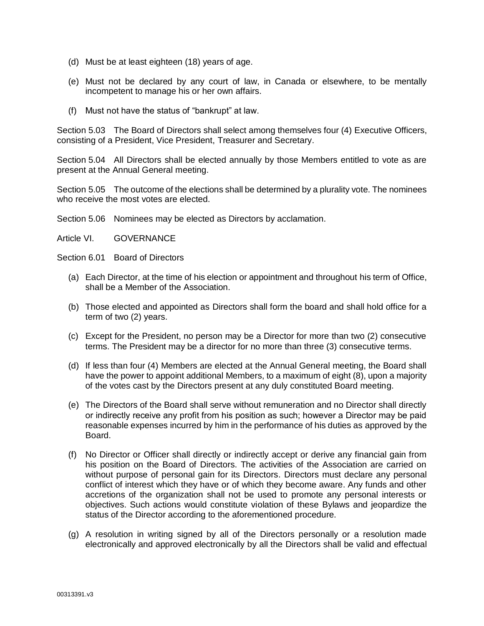- (d) Must be at least eighteen (18) years of age.
- (e) Must not be declared by any court of law, in Canada or elsewhere, to be mentally incompetent to manage his or her own affairs.
- (f) Must not have the status of "bankrupt" at law.

Section 5.03 The Board of Directors shall select among themselves four (4) Executive Officers, consisting of a President, Vice President, Treasurer and Secretary.

Section 5.04 All Directors shall be elected annually by those Members entitled to vote as are present at the Annual General meeting.

Section 5.05 The outcome of the elections shall be determined by a plurality vote. The nominees who receive the most votes are elected.

Section 5.06 Nominees may be elected as Directors by acclamation.

Article VI. GOVERNANCE

Section 6.01 Board of Directors

- (a) Each Director, at the time of his election or appointment and throughout his term of Office, shall be a Member of the Association.
- (b) Those elected and appointed as Directors shall form the board and shall hold office for a term of two (2) years.
- (c) Except for the President, no person may be a Director for more than two (2) consecutive terms. The President may be a director for no more than three (3) consecutive terms.
- (d) If less than four (4) Members are elected at the Annual General meeting, the Board shall have the power to appoint additional Members, to a maximum of eight (8), upon a majority of the votes cast by the Directors present at any duly constituted Board meeting.
- (e) The Directors of the Board shall serve without remuneration and no Director shall directly or indirectly receive any profit from his position as such; however a Director may be paid reasonable expenses incurred by him in the performance of his duties as approved by the Board.
- (f) No Director or Officer shall directly or indirectly accept or derive any financial gain from his position on the Board of Directors. The activities of the Association are carried on without purpose of personal gain for its Directors. Directors must declare any personal conflict of interest which they have or of which they become aware. Any funds and other accretions of the organization shall not be used to promote any personal interests or objectives. Such actions would constitute violation of these Bylaws and jeopardize the status of the Director according to the aforementioned procedure.
- (g) A resolution in writing signed by all of the Directors personally or a resolution made electronically and approved electronically by all the Directors shall be valid and effectual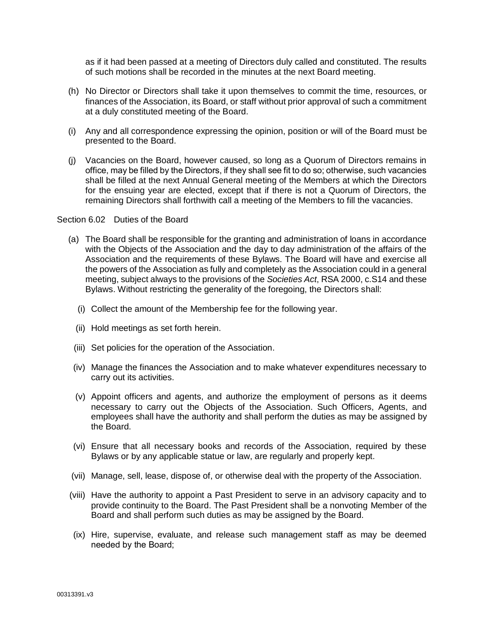as if it had been passed at a meeting of Directors duly called and constituted. The results of such motions shall be recorded in the minutes at the next Board meeting.

- (h) No Director or Directors shall take it upon themselves to commit the time, resources, or finances of the Association, its Board, or staff without prior approval of such a commitment at a duly constituted meeting of the Board.
- (i) Any and all correspondence expressing the opinion, position or will of the Board must be presented to the Board.
- (j) Vacancies on the Board, however caused, so long as a Quorum of Directors remains in office, may be filled by the Directors, if they shall see fit to do so; otherwise, such vacancies shall be filled at the next Annual General meeting of the Members at which the Directors for the ensuing year are elected, except that if there is not a Quorum of Directors, the remaining Directors shall forthwith call a meeting of the Members to fill the vacancies.

Section 6.02 Duties of the Board

- (a) The Board shall be responsible for the granting and administration of loans in accordance with the Objects of the Association and the day to day administration of the affairs of the Association and the requirements of these Bylaws. The Board will have and exercise all the powers of the Association as fully and completely as the Association could in a general meeting, subject always to the provisions of the *Societies Act*, RSA 2000, c.S14 and these Bylaws. Without restricting the generality of the foregoing, the Directors shall:
	- (i) Collect the amount of the Membership fee for the following year.
	- (ii) Hold meetings as set forth herein.
	- (iii) Set policies for the operation of the Association.
- (iv) Manage the finances the Association and to make whatever expenditures necessary to carry out its activities.
- (v) Appoint officers and agents, and authorize the employment of persons as it deems necessary to carry out the Objects of the Association. Such Officers, Agents, and employees shall have the authority and shall perform the duties as may be assigned by the Board.
- (vi) Ensure that all necessary books and records of the Association, required by these Bylaws or by any applicable statue or law, are regularly and properly kept.
- (vii) Manage, sell, lease, dispose of, or otherwise deal with the property of the Association.
- (viii) Have the authority to appoint a Past President to serve in an advisory capacity and to provide continuity to the Board. The Past President shall be a nonvoting Member of the Board and shall perform such duties as may be assigned by the Board.
- (ix) Hire, supervise, evaluate, and release such management staff as may be deemed needed by the Board;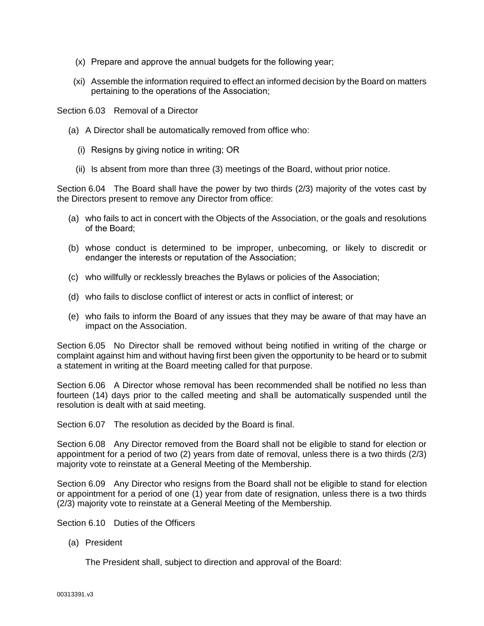- (x) Prepare and approve the annual budgets for the following year;
- (xi) Assemble the information required to effect an informed decision by the Board on matters pertaining to the operations of the Association;

Section 6.03 Removal of a Director

- (a) A Director shall be automatically removed from office who:
	- (i) Resigns by giving notice in writing; OR
	- (ii) Is absent from more than three (3) meetings of the Board, without prior notice.

Section 6.04 The Board shall have the power by two thirds (2/3) majority of the votes cast by the Directors present to remove any Director from office:

- (a) who fails to act in concert with the Objects of the Association, or the goals and resolutions of the Board;
- (b) whose conduct is determined to be improper, unbecoming, or likely to discredit or endanger the interests or reputation of the Association;
- (c) who willfully or recklessly breaches the Bylaws or policies of the Association;
- (d) who fails to disclose conflict of interest or acts in conflict of interest; or
- (e) who fails to inform the Board of any issues that they may be aware of that may have an impact on the Association.

Section 6.05 No Director shall be removed without being notified in writing of the charge or complaint against him and without having first been given the opportunity to be heard or to submit a statement in writing at the Board meeting called for that purpose.

Section 6.06 A Director whose removal has been recommended shall be notified no less than fourteen (14) days prior to the called meeting and shall be automatically suspended until the resolution is dealt with at said meeting.

Section 6.07 The resolution as decided by the Board is final.

Section 6.08 Any Director removed from the Board shall not be eligible to stand for election or appointment for a period of two (2) years from date of removal, unless there is a two thirds (2/3) majority vote to reinstate at a General Meeting of the Membership.

Section 6.09 Any Director who resigns from the Board shall not be eligible to stand for election or appointment for a period of one (1) year from date of resignation, unless there is a two thirds (2/3) majority vote to reinstate at a General Meeting of the Membership.

Section 6.10 Duties of the Officers

(a) President

The President shall, subject to direction and approval of the Board: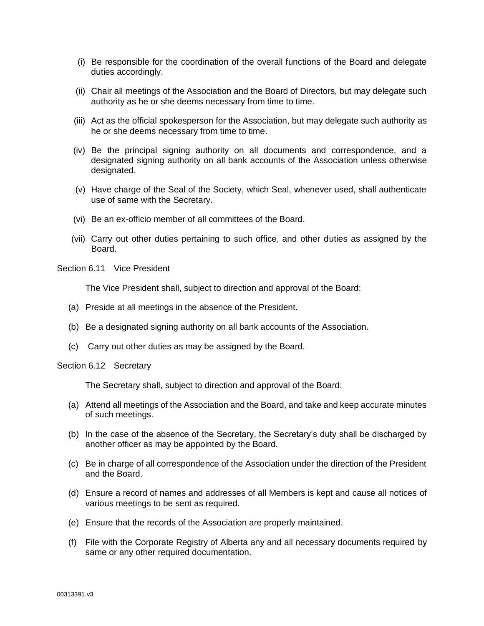- (i) Be responsible for the coordination of the overall functions of the Board and delegate duties accordingly.
- (ii) Chair all meetings of the Association and the Board of Directors, but may delegate such authority as he or she deems necessary from time to time.
- (iii) Act as the official spokesperson for the Association, but may delegate such authority as he or she deems necessary from time to time.
- (iv) Be the principal signing authority on all documents and correspondence, and a designated signing authority on all bank accounts of the Association unless otherwise designated.
- (v) Have charge of the Seal of the Society, which Seal, whenever used, shall authenticate use of same with the Secretary.
- (vi) Be an ex-officio member of all committees of the Board.
- (vii) Carry out other duties pertaining to such office, and other duties as assigned by the Board.

Section 6.11 Vice President

The Vice President shall, subject to direction and approval of the Board:

- (a) Preside at all meetings in the absence of the President.
- (b) Be a designated signing authority on all bank accounts of the Association.
- (c) Carry out other duties as may be assigned by the Board.

Section 6.12 Secretary

The Secretary shall, subject to direction and approval of the Board:

- (a) Attend all meetings of the Association and the Board, and take and keep accurate minutes of such meetings.
- (b) In the case of the absence of the Secretary, the Secretary's duty shall be discharged by another officer as may be appointed by the Board.
- (c) Be in charge of all correspondence of the Association under the direction of the President and the Board.
- (d) Ensure a record of names and addresses of all Members is kept and cause all notices of various meetings to be sent as required.
- (e) Ensure that the records of the Association are properly maintained.
- (f) File with the Corporate Registry of Alberta any and all necessary documents required by same or any other required documentation.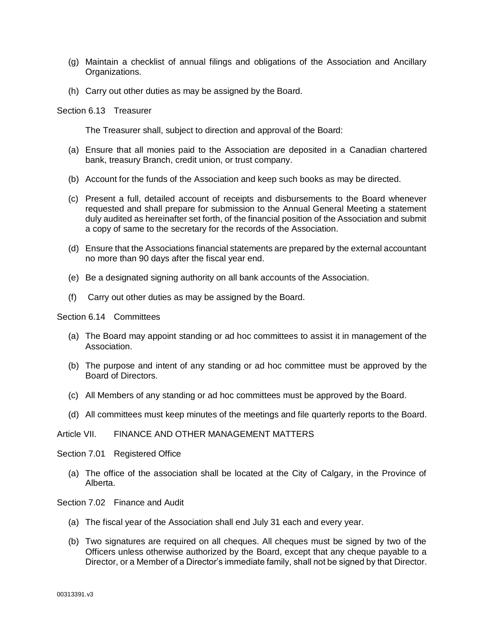- (g) Maintain a checklist of annual filings and obligations of the Association and Ancillary Organizations.
- (h) Carry out other duties as may be assigned by the Board.

Section 6.13 Treasurer

The Treasurer shall, subject to direction and approval of the Board:

- (a) Ensure that all monies paid to the Association are deposited in a Canadian chartered bank, treasury Branch, credit union, or trust company.
- (b) Account for the funds of the Association and keep such books as may be directed.
- (c) Present a full, detailed account of receipts and disbursements to the Board whenever requested and shall prepare for submission to the Annual General Meeting a statement duly audited as hereinafter set forth, of the financial position of the Association and submit a copy of same to the secretary for the records of the Association.
- (d) Ensure that the Associations financial statements are prepared by the external accountant no more than 90 days after the fiscal year end.
- (e) Be a designated signing authority on all bank accounts of the Association.
- (f) Carry out other duties as may be assigned by the Board.

Section 6.14 Committees

- (a) The Board may appoint standing or ad hoc committees to assist it in management of the Association.
- (b) The purpose and intent of any standing or ad hoc committee must be approved by the Board of Directors.
- (c) All Members of any standing or ad hoc committees must be approved by the Board.
- (d) All committees must keep minutes of the meetings and file quarterly reports to the Board.

#### Article VII. FINANCE AND OTHER MANAGEMENT MATTERS

Section 7.01 Registered Office

(a) The office of the association shall be located at the City of Calgary, in the Province of Alberta.

Section 7.02 Finance and Audit

- (a) The fiscal year of the Association shall end July 31 each and every year.
- (b) Two signatures are required on all cheques. All cheques must be signed by two of the Officers unless otherwise authorized by the Board, except that any cheque payable to a Director, or a Member of a Director's immediate family, shall not be signed by that Director.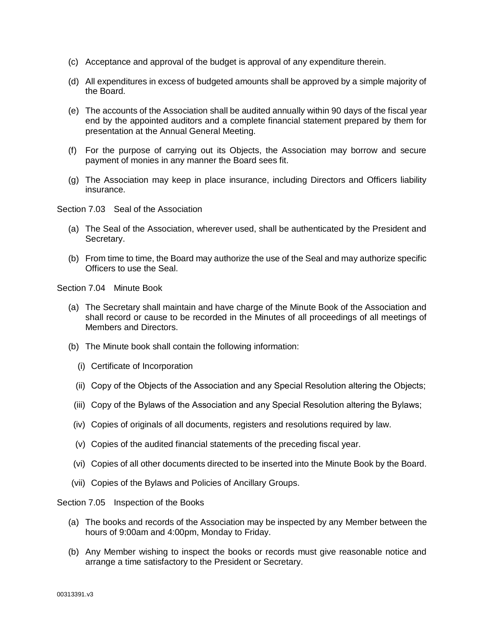- (c) Acceptance and approval of the budget is approval of any expenditure therein.
- (d) All expenditures in excess of budgeted amounts shall be approved by a simple majority of the Board.
- (e) The accounts of the Association shall be audited annually within 90 days of the fiscal year end by the appointed auditors and a complete financial statement prepared by them for presentation at the Annual General Meeting.
- (f) For the purpose of carrying out its Objects, the Association may borrow and secure payment of monies in any manner the Board sees fit.
- (g) The Association may keep in place insurance, including Directors and Officers liability insurance.

Section 7.03 Seal of the Association

- (a) The Seal of the Association, wherever used, shall be authenticated by the President and Secretary.
- (b) From time to time, the Board may authorize the use of the Seal and may authorize specific Officers to use the Seal.

Section 7.04 Minute Book

- (a) The Secretary shall maintain and have charge of the Minute Book of the Association and shall record or cause to be recorded in the Minutes of all proceedings of all meetings of Members and Directors.
- (b) The Minute book shall contain the following information:
	- (i) Certificate of Incorporation
	- (ii) Copy of the Objects of the Association and any Special Resolution altering the Objects;
	- (iii) Copy of the Bylaws of the Association and any Special Resolution altering the Bylaws;
- (iv) Copies of originals of all documents, registers and resolutions required by law.
- (v) Copies of the audited financial statements of the preceding fiscal year.
- (vi) Copies of all other documents directed to be inserted into the Minute Book by the Board.
- (vii) Copies of the Bylaws and Policies of Ancillary Groups.

Section 7.05 Inspection of the Books

- (a) The books and records of the Association may be inspected by any Member between the hours of 9:00am and 4:00pm, Monday to Friday.
- (b) Any Member wishing to inspect the books or records must give reasonable notice and arrange a time satisfactory to the President or Secretary.